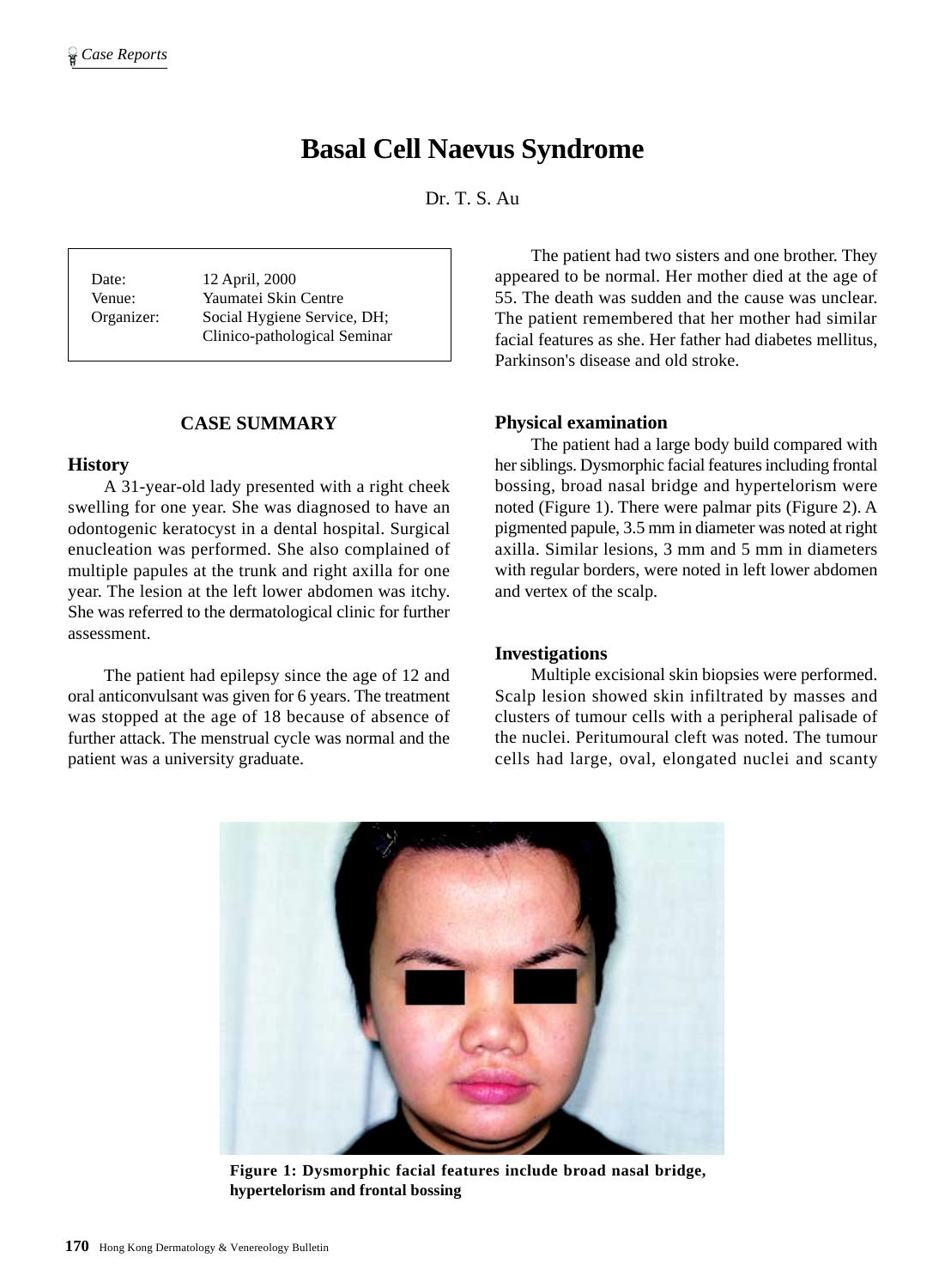# **Basal Cell Naevus Syndrome**

Dr. T. S. Au

Date: 12 April, 2000 Venue: Yaumatei Skin Centre Organizer: Social Hygiene Service, DH; Clinico-pathological Seminar

## **CASE SUMMARY**

#### **History**

A 31-year-old lady presented with a right cheek swelling for one year. She was diagnosed to have an odontogenic keratocyst in a dental hospital. Surgical enucleation was performed. She also complained of multiple papules at the trunk and right axilla for one year. The lesion at the left lower abdomen was itchy. She was referred to the dermatological clinic for further assessment.

The patient had epilepsy since the age of 12 and oral anticonvulsant was given for 6 years. The treatment was stopped at the age of 18 because of absence of further attack. The menstrual cycle was normal and the patient was a university graduate.

The patient had two sisters and one brother. They appeared to be normal. Her mother died at the age of 55. The death was sudden and the cause was unclear. The patient remembered that her mother had similar facial features as she. Her father had diabetes mellitus, Parkinson's disease and old stroke.

## **Physical examination**

The patient had a large body build compared with her siblings. Dysmorphic facial features including frontal bossing, broad nasal bridge and hypertelorism were noted (Figure 1). There were palmar pits (Figure 2). A pigmented papule, 3.5 mm in diameter was noted at right axilla. Similar lesions, 3 mm and 5 mm in diameters with regular borders, were noted in left lower abdomen and vertex of the scalp.

## **Investigations**

Multiple excisional skin biopsies were performed. Scalp lesion showed skin infiltrated by masses and clusters of tumour cells with a peripheral palisade of the nuclei. Peritumoural cleft was noted. The tumour cells had large, oval, elongated nuclei and scanty



**Figure 1: Dysmorphic facial features include broad nasal bridge, hypertelorism and frontal bossing**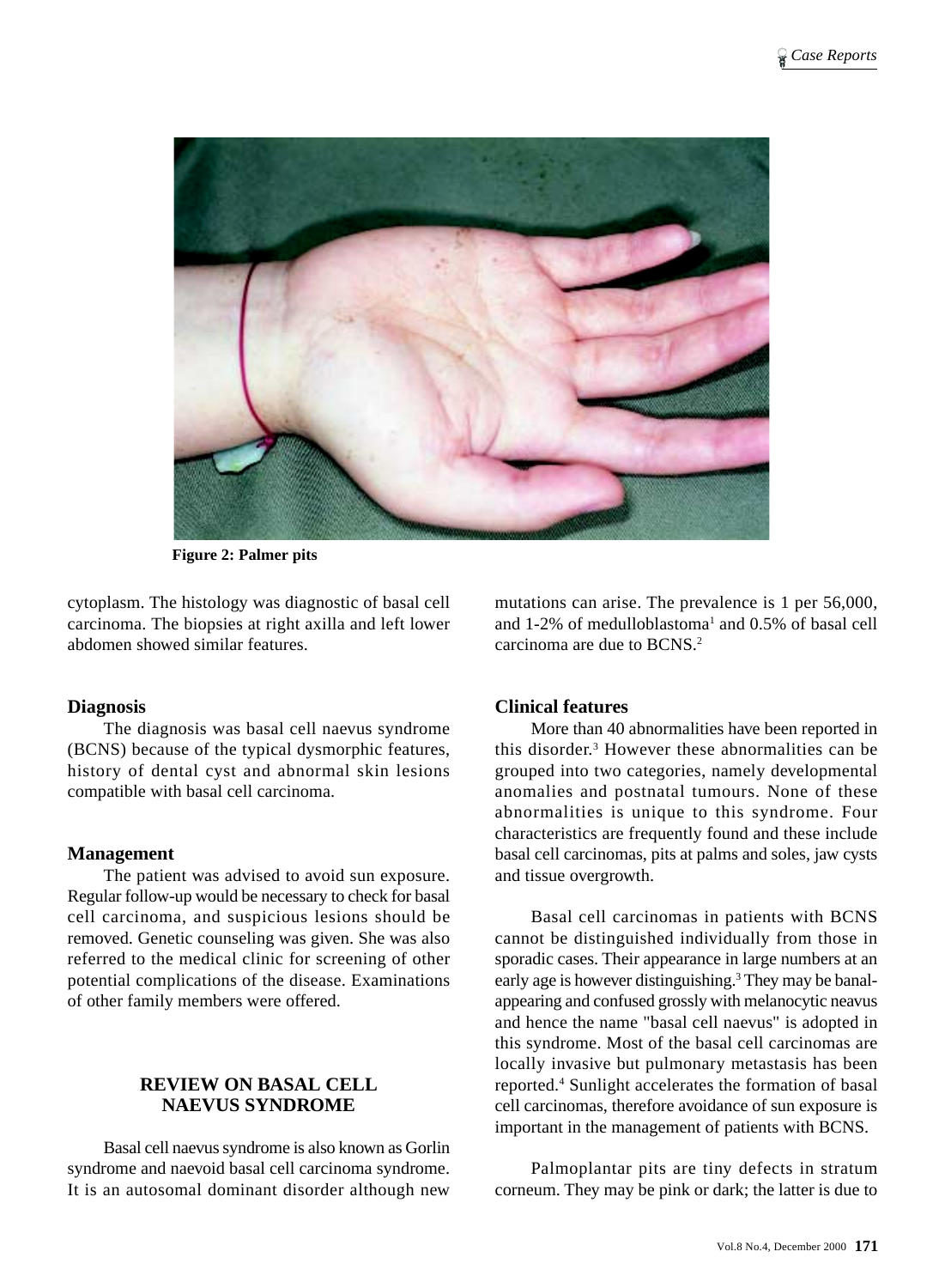

**Figure 2: Palmer pits**

cytoplasm. The histology was diagnostic of basal cell carcinoma. The biopsies at right axilla and left lower abdomen showed similar features.

## **Diagnosis**

The diagnosis was basal cell naevus syndrome (BCNS) because of the typical dysmorphic features, history of dental cyst and abnormal skin lesions compatible with basal cell carcinoma.

## **Management**

The patient was advised to avoid sun exposure. Regular follow-up would be necessary to check for basal cell carcinoma, and suspicious lesions should be removed. Genetic counseling was given. She was also referred to the medical clinic for screening of other potential complications of the disease. Examinations of other family members were offered.

# **REVIEW ON BASAL CELL NAEVUS SYNDROME**

Basal cell naevus syndrome is also known as Gorlin syndrome and naevoid basal cell carcinoma syndrome. It is an autosomal dominant disorder although new

mutations can arise. The prevalence is 1 per 56,000, and  $1-2\%$  of medulloblastoma<sup>1</sup> and  $0.5\%$  of basal cell carcinoma are due to BCNS.2

# **Clinical features**

More than 40 abnormalities have been reported in this disorder.3 However these abnormalities can be grouped into two categories, namely developmental anomalies and postnatal tumours. None of these abnormalities is unique to this syndrome. Four characteristics are frequently found and these include basal cell carcinomas, pits at palms and soles, jaw cysts and tissue overgrowth.

Basal cell carcinomas in patients with BCNS cannot be distinguished individually from those in sporadic cases. Their appearance in large numbers at an early age is however distinguishing.<sup>3</sup> They may be banalappearing and confused grossly with melanocytic neavus and hence the name "basal cell naevus" is adopted in this syndrome. Most of the basal cell carcinomas are locally invasive but pulmonary metastasis has been reported.4 Sunlight accelerates the formation of basal cell carcinomas, therefore avoidance of sun exposure is important in the management of patients with BCNS.

Palmoplantar pits are tiny defects in stratum corneum. They may be pink or dark; the latter is due to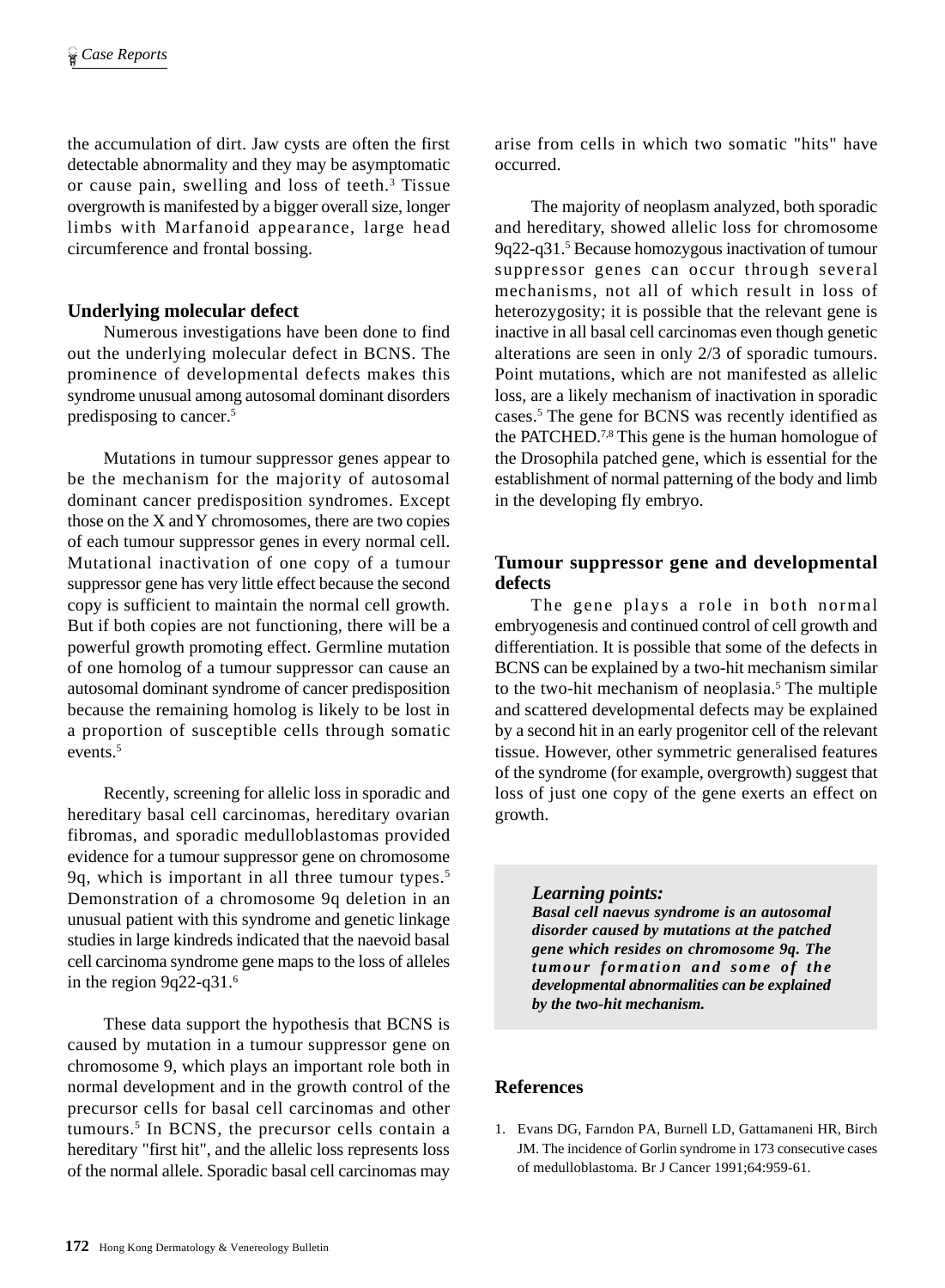the accumulation of dirt. Jaw cysts are often the first detectable abnormality and they may be asymptomatic or cause pain, swelling and loss of teeth.<sup>3</sup> Tissue overgrowth is manifested by a bigger overall size, longer limbs with Marfanoid appearance, large head circumference and frontal bossing.

# **Underlying molecular defect**

Numerous investigations have been done to find out the underlying molecular defect in BCNS. The prominence of developmental defects makes this syndrome unusual among autosomal dominant disorders predisposing to cancer.5

Mutations in tumour suppressor genes appear to be the mechanism for the majority of autosomal dominant cancer predisposition syndromes. Except those on the X and Y chromosomes, there are two copies of each tumour suppressor genes in every normal cell. Mutational inactivation of one copy of a tumour suppressor gene has very little effect because the second copy is sufficient to maintain the normal cell growth. But if both copies are not functioning, there will be a powerful growth promoting effect. Germline mutation of one homolog of a tumour suppressor can cause an autosomal dominant syndrome of cancer predisposition because the remaining homolog is likely to be lost in a proportion of susceptible cells through somatic events.<sup>5</sup>

Recently, screening for allelic loss in sporadic and hereditary basal cell carcinomas, hereditary ovarian fibromas, and sporadic medulloblastomas provided evidence for a tumour suppressor gene on chromosome 9q, which is important in all three tumour types.5 Demonstration of a chromosome 9q deletion in an unusual patient with this syndrome and genetic linkage studies in large kindreds indicated that the naevoid basal cell carcinoma syndrome gene maps to the loss of alleles in the region 9q22-q31.6

These data support the hypothesis that BCNS is caused by mutation in a tumour suppressor gene on chromosome 9, which plays an important role both in normal development and in the growth control of the precursor cells for basal cell carcinomas and other tumours.5 In BCNS, the precursor cells contain a hereditary "first hit", and the allelic loss represents loss of the normal allele. Sporadic basal cell carcinomas may

arise from cells in which two somatic "hits" have occurred.

The majority of neoplasm analyzed, both sporadic and hereditary, showed allelic loss for chromosome 9q22-q31.5 Because homozygous inactivation of tumour suppressor genes can occur through several mechanisms, not all of which result in loss of heterozygosity; it is possible that the relevant gene is inactive in all basal cell carcinomas even though genetic alterations are seen in only 2/3 of sporadic tumours. Point mutations, which are not manifested as allelic loss, are a likely mechanism of inactivation in sporadic cases.<sup>5</sup> The gene for BCNS was recently identified as the PATCHED.7,8 This gene is the human homologue of the Drosophila patched gene, which is essential for the establishment of normal patterning of the body and limb in the developing fly embryo.

# **Tumour suppressor gene and developmental defects**

The gene plays a role in both normal embryogenesis and continued control of cell growth and differentiation. It is possible that some of the defects in BCNS can be explained by a two-hit mechanism similar to the two-hit mechanism of neoplasia.<sup>5</sup> The multiple and scattered developmental defects may be explained by a second hit in an early progenitor cell of the relevant tissue. However, other symmetric generalised features of the syndrome (for example, overgrowth) suggest that loss of just one copy of the gene exerts an effect on growth.

#### *Learning points:*

*Basal cell naevus syndrome is an autosomal disorder caused by mutations at the patched gene which resides on chromosome 9q. The tumour formation and some of the developmental abnormalities can be explained by the two-hit mechanism.*

## **References**

1. Evans DG, Farndon PA, Burnell LD, Gattamaneni HR, Birch JM. The incidence of Gorlin syndrome in 173 consecutive cases of medulloblastoma. Br J Cancer 1991;64:959-61.